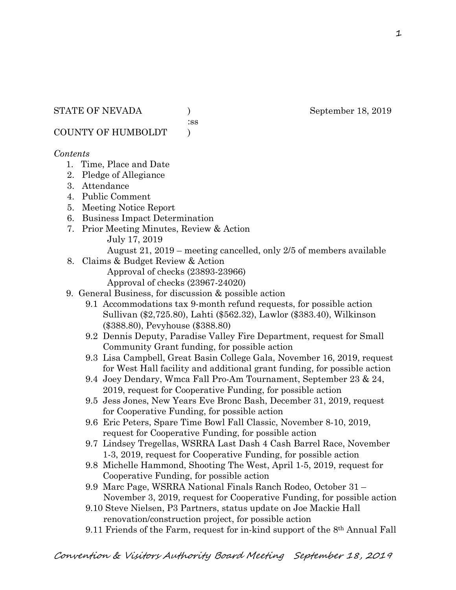:ss

COUNTY OF HUMBOLDT )

### *Contents*

- 1. Time, Place and Date
- 2. Pledge of Allegiance
- 3. Attendance
- 4. Public Comment
- 5. Meeting Notice Report
- 6. Business Impact Determination
- 7. Prior Meeting Minutes, Review & Action July 17, 2019
	- August 21, 2019 meeting cancelled, only 2/5 of members available
- 8. Claims & Budget Review & Action

Approval of checks (23893-23966)

- Approval of checks (23967-24020)
- 9. General Business, for discussion & possible action
	- 9.1 Accommodations tax 9-month refund requests, for possible action Sullivan (\$2,725.80), Lahti (\$562.32), Lawlor (\$383.40), Wilkinson (\$388.80), Pevyhouse (\$388.80)
	- 9.2 Dennis Deputy, Paradise Valley Fire Department, request for Small Community Grant funding, for possible action
	- 9.3 Lisa Campbell, Great Basin College Gala, November 16, 2019, request for West Hall facility and additional grant funding, for possible action
	- 9.4 Joey Dendary, Wmca Fall Pro-Am Tournament, September 23 & 24, 2019, request for Cooperative Funding, for possible action
	- 9.5 Jess Jones, New Years Eve Bronc Bash, December 31, 2019, request for Cooperative Funding, for possible action
	- 9.6 Eric Peters, Spare Time Bowl Fall Classic, November 8-10, 2019, request for Cooperative Funding, for possible action
	- 9.7 Lindsey Tregellas, WSRRA Last Dash 4 Cash Barrel Race, November 1-3, 2019, request for Cooperative Funding, for possible action
	- 9.8 Michelle Hammond, Shooting The West, April 1-5, 2019, request for Cooperative Funding, for possible action
	- 9.9 Marc Page, WSRRA National Finals Ranch Rodeo, October 31 November 3, 2019, request for Cooperative Funding, for possible action
	- 9.10 Steve Nielsen, P3 Partners, status update on Joe Mackie Hall renovation/construction project, for possible action
	- 9.11 Friends of the Farm, request for in-kind support of the 8th Annual Fall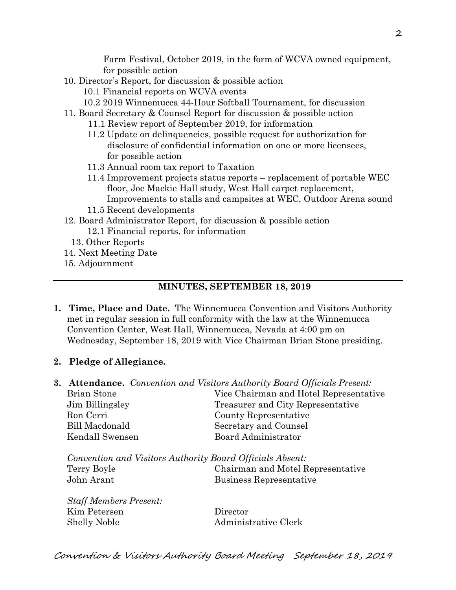Farm Festival, October 2019, in the form of WCVA owned equipment, for possible action

- 10. Director's Report, for discussion & possible action
	- 10.1 Financial reports on WCVA events
	- 10.2 2019 Winnemucca 44-Hour Softball Tournament, for discussion
- 11. Board Secretary & Counsel Report for discussion & possible action
	- 11.1 Review report of September 2019, for information
	- 11.2 Update on delinquencies, possible request for authorization for disclosure of confidential information on one or more licensees, for possible action
	- 11.3 Annual room tax report to Taxation
	- 11.4 Improvement projects status reports replacement of portable WEC floor, Joe Mackie Hall study, West Hall carpet replacement, Improvements to stalls and campsites at WEC, Outdoor Arena sound
	- 11.5 Recent developments
- 12. Board Administrator Report, for discussion & possible action 12.1 Financial reports, for information
	- 13. Other Reports
- 14. Next Meeting Date
- 15. Adjournment

#### **MINUTES, SEPTEMBER 18, 2019**

- **1. Time, Place and Date.** The Winnemucca Convention and Visitors Authority met in regular session in full conformity with the law at the Winnemucca Convention Center, West Hall, Winnemucca, Nevada at 4:00 pm on Wednesday, September 18, 2019 with Vice Chairman Brian Stone presiding.
- **2. Pledge of Allegiance.**

|                                                           |                    | <b>3. Attendance.</b> Convention and Visitors Authority Board Officials Present: |
|-----------------------------------------------------------|--------------------|----------------------------------------------------------------------------------|
|                                                           | <b>Brian Stone</b> | Vice Chairman and Hotel Representative                                           |
|                                                           | Jim Billingsley    | Treasurer and City Representative                                                |
|                                                           | Ron Cerri          | County Representative                                                            |
|                                                           | Bill Macdonald     | Secretary and Counsel                                                            |
|                                                           | Kendall Swensen    | <b>Board Administrator</b>                                                       |
| Convention and Visitors Authority Board Officials Absent: |                    |                                                                                  |
|                                                           | Terry Boyle        | Chairman and Motel Representative                                                |
|                                                           | John Arant         | Business Representative                                                          |
|                                                           |                    |                                                                                  |

| <b>Staff Members Present:</b> |          |
|-------------------------------|----------|
| Kim Petersen                  | Director |
| Shelly Noble                  | Adminis  |

inistrative Clerk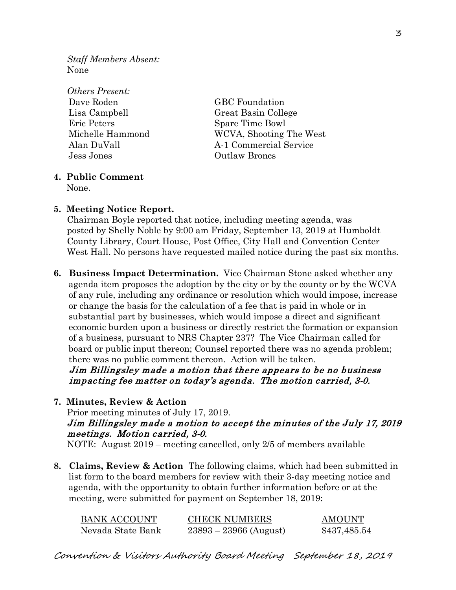*Staff Members Absent:* None

*Others Present:* Dave Roden GBC Foundation Eric Peters Spare Time Bowl Jess Jones Outlaw Broncs

Lisa Campbell Great Basin College Michelle Hammond WCVA, Shooting The West Alan DuVall A-1 Commercial Service

## **4. Public Comment**

None.

**5. Meeting Notice Report.** Chairman Boyle reported that notice, including meeting agenda, was posted by Shelly Noble by 9:00 am Friday, September 13, 2019 at Humboldt County Library, Court House, Post Office, City Hall and Convention Center West Hall. No persons have requested mailed notice during the past six months.

**6. Business Impact Determination.** Vice Chairman Stone asked whether any agenda item proposes the adoption by the city or by the county or by the WCVA of any rule, including any ordinance or resolution which would impose, increase or change the basis for the calculation of a fee that is paid in whole or in substantial part by businesses, which would impose a direct and significant economic burden upon a business or directly restrict the formation or expansion of a business, pursuant to NRS Chapter 237? The Vice Chairman called for board or public input thereon; Counsel reported there was no agenda problem; there was no public comment thereon. Action will be taken.

 Jim Billingsley made a motion that there appears to be no business impacting fee matter on today's agenda. The motion carried, 3-0.

**7. Minutes, Review & Action** 

Prior meeting minutes of July 17, 2019. Jim Billingsley made a motion to accept the minutes of the July 17, 2019 meetings. Motion carried, 3-0. NOTE: August 2019 – meeting cancelled, only 2/5 of members available

**8. Claims, Review & Action** The following claims, which had been submitted in list form to the board members for review with their 3-day meeting notice and agenda, with the opportunity to obtain further information before or at the meeting, were submitted for payment on September 18, 2019:

| <b>BANK ACCOUNT</b> | <b>CHECK NUMBERS</b>     | <b>AMOUNT</b> |
|---------------------|--------------------------|---------------|
| Nevada State Bank   | $23893 - 23966$ (August) | \$437,485.54  |

Convention & Visitors Authority Board Meeting September 18, 2019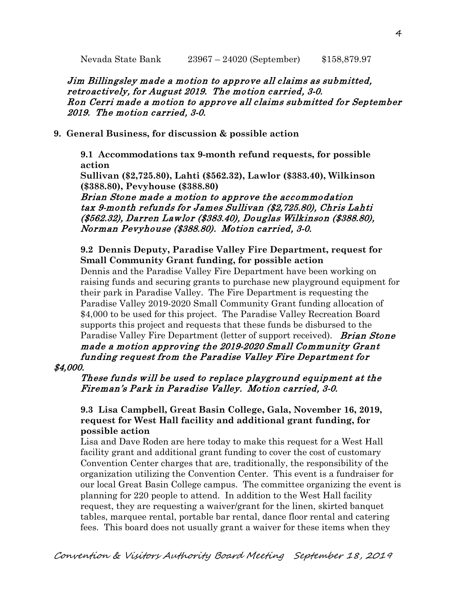Jim Billingsley made a motion to approve all claims as submitted, retroactively, for August 2019. The motion carried, 3-0. Ron Cerri made a motion to approve all claims submitted for September 2019. The motion carried, 3-0.

## **9. General Business, for discussion & possible action**

**9.1 Accommodations tax 9-month refund requests, for possible action**

**Sullivan (\$2,725.80), Lahti (\$562.32), Lawlor (\$383.40), Wilkinson (\$388.80), Pevyhouse (\$388.80)**

Brian Stone made a motion to approve the accommodation tax 9-month refunds for James Sullivan (\$2,725.80), Chris Lahti (\$562.32), Darren Lawlor (\$383.40), Douglas Wilkinson (\$388.80), Norman Pevyhouse (\$388.80). Motion carried, 3-0.

## **9.2 Dennis Deputy, Paradise Valley Fire Department, request for Small Community Grant funding, for possible action**

Dennis and the Paradise Valley Fire Department have been working on raising funds and securing grants to purchase new playground equipment for their park in Paradise Valley. The Fire Department is requesting the Paradise Valley 2019-2020 Small Community Grant funding allocation of \$4,000 to be used for this project. The Paradise Valley Recreation Board supports this project and requests that these funds be disbursed to the Paradise Valley Fire Department (letter of support received). *Brian Stone* made a motion approving the 2019-2020 Small Community Grant funding request from the Paradise Valley Fire Department for

## \$4,000.

#### These funds will be used to replace playground equipment at the Fireman's Park in Paradise Valley. Motion carried, 3-0.

## **9.3 Lisa Campbell, Great Basin College, Gala, November 16, 2019, request for West Hall facility and additional grant funding, for possible action**

Lisa and Dave Roden are here today to make this request for a West Hall facility grant and additional grant funding to cover the cost of customary Convention Center charges that are, traditionally, the responsibility of the organization utilizing the Convention Center. This event is a fundraiser for our local Great Basin College campus. The committee organizing the event is planning for 220 people to attend. In addition to the West Hall facility request, they are requesting a waiver/grant for the linen, skirted banquet tables, marquee rental, portable bar rental, dance floor rental and catering fees. This board does not usually grant a waiver for these items when they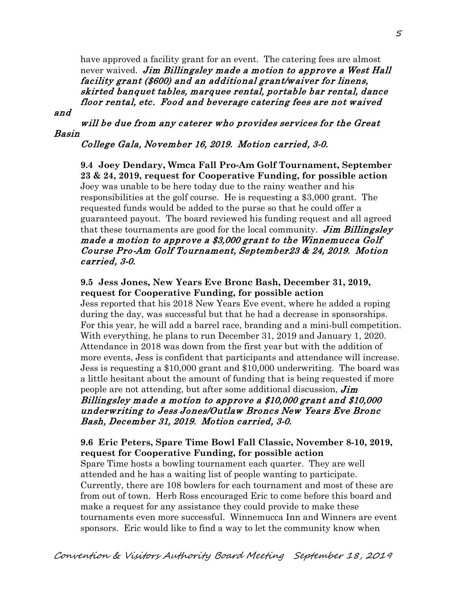have approved a facility grant for an event. The catering fees are almost never waived. Jim Billingsley made a motion to approve a West Hall facility grant (\$600) and an additional grant/waiver for linens, skirted banquet tables, marquee rental, portable bar rental, dance floor rental, etc. Food and beverage catering fees are not waived

and

will be due from any caterer who provides services for the Great Basin

## College Gala, November 16, 2019. Motion carried, 3-0.

**9.4 Joey Dendary, Wmca Fall Pro-Am Golf Tournament, September 23 & 24, 2019, request for Cooperative Funding, for possible action** Joey was unable to be here today due to the rainy weather and his responsibilities at the golf course. He is requesting a \$3,000 grant. The requested funds would be added to the purse so that he could offer a guaranteed payout. The board reviewed his funding request and all agreed that these tournaments are good for the local community. Jim Billingsley made a motion to approve a \$3,000 grant to the Winnemucca Golf Course Pro-Am Golf Tournament, September23 & 24, 2019. Motion carried, 3-0.

**9.5 Jess Jones, New Years Eve Bronc Bash, December 31, 2019, request for Cooperative Funding, for possible action** Jess reported that his 2018 New Years Eve event, where he added a roping during the day, was successful but that he had a decrease in sponsorships. For this year, he will add a barrel race, branding and a mini-bull competition. With everything, he plans to run December 31, 2019 and January 1, 2020. Attendance in 2018 was down from the first year but with the addition of more events, Jess is confident that participants and attendance will increase. Jess is requesting a \$10,000 grant and \$10,000 underwriting. The board was a little hesitant about the amount of funding that is being requested if more people are not attending, but after some additional discussion,  $\lim$ Billingsley made a motion to approve a \$10,000 grant and \$10,000 underwriting to Jess Jones/Outlaw Broncs New Years Eve Bronc Bash, December 31, 2019. Motion carried, 3-0.

**9.6 Eric Peters, Spare Time Bowl Fall Classic, November 8-10, 2019, request for Cooperative Funding, for possible action** Spare Time hosts a bowling tournament each quarter. They are well attended and he has a waiting list of people wanting to participate. Currently, there are 108 bowlers for each tournament and most of these are from out of town. Herb Ross encouraged Eric to come before this board and make a request for any assistance they could provide to make these tournaments even more successful. Winnemucca Inn and Winners are event sponsors. Eric would like to find a way to let the community know when

Convention & Visitors Authority Board Meeting September 18, 2019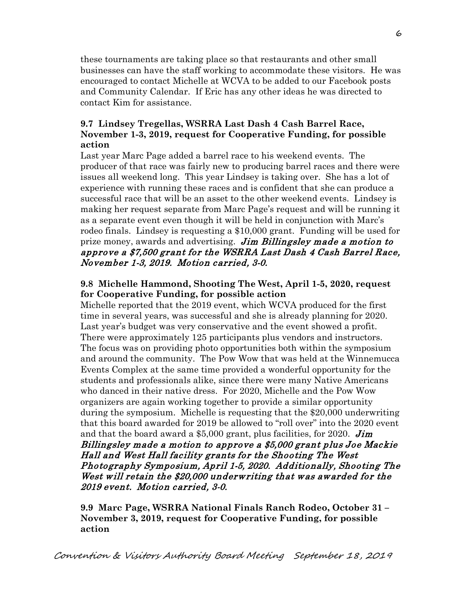these tournaments are taking place so that restaurants and other small businesses can have the staff working to accommodate these visitors. He was encouraged to contact Michelle at WCVA to be added to our Facebook posts and Community Calendar. If Eric has any other ideas he was directed to contact Kim for assistance.

## **9.7 Lindsey Tregellas, WSRRA Last Dash 4 Cash Barrel Race, November 1-3, 2019, request for Cooperative Funding, for possible action**

Last year Marc Page added a barrel race to his weekend events. The producer of that race was fairly new to producing barrel races and there were issues all weekend long. This year Lindsey is taking over. She has a lot of experience with running these races and is confident that she can produce a successful race that will be an asset to the other weekend events. Lindsey is making her request separate from Marc Page's request and will be running it as a separate event even though it will be held in conjunction with Marc's rodeo finals. Lindsey is requesting a \$10,000 grant. Funding will be used for prize money, awards and advertising. Jim Billingsley made a motion to approve a \$7,500 grant for the WSRRA Last Dash 4 Cash Barrel Race, November 1-3, 2019. Motion carried, 3-0.

## **9.8 Michelle Hammond, Shooting The West, April 1-5, 2020, request for Cooperative Funding, for possible action**

Michelle reported that the 2019 event, which WCVA produced for the first time in several years, was successful and she is already planning for 2020. Last year's budget was very conservative and the event showed a profit. There were approximately 125 participants plus vendors and instructors. The focus was on providing photo opportunities both within the symposium and around the community. The Pow Wow that was held at the Winnemucca Events Complex at the same time provided a wonderful opportunity for the students and professionals alike, since there were many Native Americans who danced in their native dress. For 2020, Michelle and the Pow Wow organizers are again working together to provide a similar opportunity during the symposium. Michelle is requesting that the \$20,000 underwriting that this board awarded for 2019 be allowed to "roll over" into the 2020 event and that the board award a \$5,000 grant, plus facilities, for 2020. **Jim** Billingsley made a motion to approve a \$5,000 grant plus Joe Mackie Hall and West Hall facility grants for the Shooting The West Photography Symposium, April 1-5, 2020. Additionally, Shooting The West will retain the \$20,000 underwriting that was awarded for the 2019 event. Motion carried, 3-0.

**9.9 Marc Page, WSRRA National Finals Ranch Rodeo, October 31 – November 3, 2019, request for Cooperative Funding, for possible action**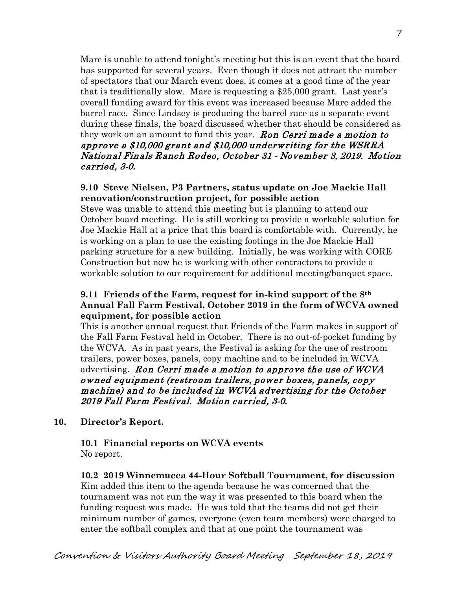Marc is unable to attend tonight's meeting but this is an event that the board has supported for several years. Even though it does not attract the number of spectators that our March event does, it comes at a good time of the year that is traditionally slow. Marc is requesting a \$25,000 grant. Last year's overall funding award for this event was increased because Marc added the barrel race. Since Lindsey is producing the barrel race as a separate event during these finals, the board discussed whether that should be considered as they work on an amount to fund this year. **Ron Cerri made a motion to** approve a \$10,000 grant and \$10,000 underwriting for the WSRRA National Finals Ranch Rodeo, October 31 - November 3, 2019. Motion carried, 3-0.

## **9.10 Steve Nielsen, P3 Partners, status update on Joe Mackie Hall renovation/construction project, for possible action**

Steve was unable to attend this meeting but is planning to attend our October board meeting. He is still working to provide a workable solution for Joe Mackie Hall at a price that this board is comfortable with. Currently, he is working on a plan to use the existing footings in the Joe Mackie Hall parking structure for a new building. Initially, he was working with CORE Construction but now he is working with other contractors to provide a workable solution to our requirement for additional meeting/banquet space.

## **9.11 Friends of the Farm, request for in-kind support of the 8th Annual Fall Farm Festival, October 2019 in the form of WCVA owned equipment, for possible action**

This is another annual request that Friends of the Farm makes in support of the Fall Farm Festival held in October. There is no out-of-pocket funding by the WCVA. As in past years, the Festival is asking for the use of restroom trailers, power boxes, panels, copy machine and to be included in WCVA advertising. Ron Cerri made a motion to approve the use of WCVA owned equipment (restroom trailers, power boxes, panels, copy machine) and to be included in WCVA advertising for the October 2019 Fall Farm Festival. Motion carried, 3-0.

## **10. Director's Report.**

### **10.1 Financial reports on WCVA events**  No report.

**10.2 2019 Winnemucca 44-Hour Softball Tournament, for discussion** Kim added this item to the agenda because he was concerned that the tournament was not run the way it was presented to this board when the funding request was made. He was told that the teams did not get their minimum number of games, everyone (even team members) were charged to enter the softball complex and that at one point the tournament was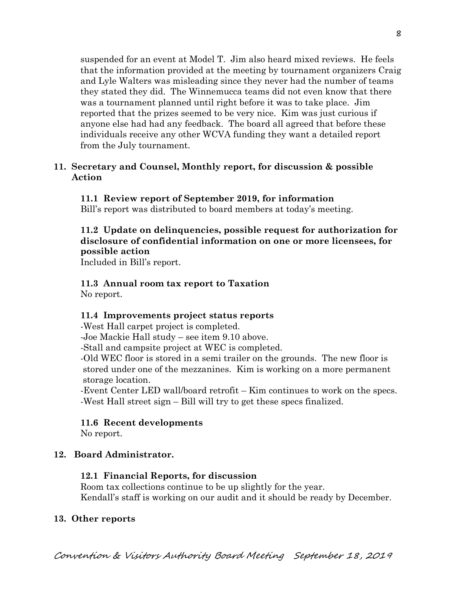suspended for an event at Model T. Jim also heard mixed reviews. He feels that the information provided at the meeting by tournament organizers Craig and Lyle Walters was misleading since they never had the number of teams they stated they did. The Winnemucca teams did not even know that there was a tournament planned until right before it was to take place. Jim reported that the prizes seemed to be very nice. Kim was just curious if anyone else had had any feedback. The board all agreed that before these individuals receive any other WCVA funding they want a detailed report from the July tournament.

#### **11. Secretary and Counsel, Monthly report, for discussion & possible Action**

#### **11.1 Review report of September 2019, for information**

Bill's report was distributed to board members at today's meeting.

## **11.2 Update on delinquencies, possible request for authorization for disclosure of confidential information on one or more licensees, for possible action**

Included in Bill's report.

# **11.3 Annual room tax report to Taxation**

No report.

#### **11.4 Improvements project status reports**

-West Hall carpet project is completed.

-Joe Mackie Hall study – see item 9.10 above.

-Stall and campsite project at WEC is completed.

-Old WEC floor is stored in a semi trailer on the grounds. The new floor is stored under one of the mezzanines. Kim is working on a more permanent storage location.

-Event Center LED wall/board retrofit – Kim continues to work on the specs. -West Hall street sign – Bill will try to get these specs finalized.

### **11.6 Recent developments**

No report.

### **12. Board Administrator.**

#### **12.1 Financial Reports, for discussion**

Room tax collections continue to be up slightly for the year. Kendall's staff is working on our audit and it should be ready by December.

#### **13. Other reports**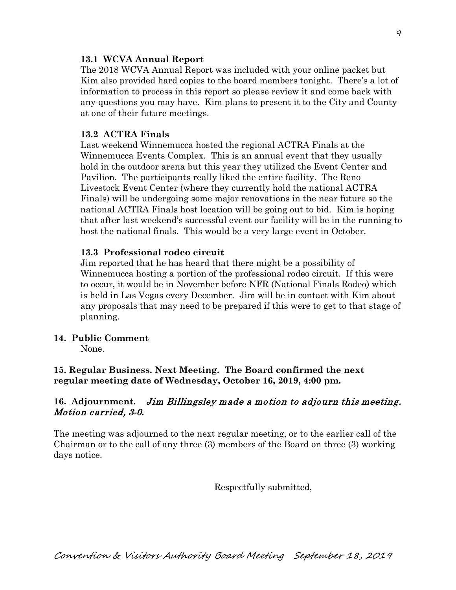#### **13.1 WCVA Annual Report**

The 2018 WCVA Annual Report was included with your online packet but Kim also provided hard copies to the board members tonight. There's a lot of information to process in this report so please review it and come back with any questions you may have. Kim plans to present it to the City and County at one of their future meetings.

#### **13.2 ACTRA Finals**

Last weekend Winnemucca hosted the regional ACTRA Finals at the Winnemucca Events Complex. This is an annual event that they usually hold in the outdoor arena but this year they utilized the Event Center and Pavilion. The participants really liked the entire facility. The Reno Livestock Event Center (where they currently hold the national ACTRA Finals) will be undergoing some major renovations in the near future so the national ACTRA Finals host location will be going out to bid. Kim is hoping that after last weekend's successful event our facility will be in the running to host the national finals. This would be a very large event in October.

#### **13.3 Professional rodeo circuit**

Jim reported that he has heard that there might be a possibility of Winnemucca hosting a portion of the professional rodeo circuit. If this were to occur, it would be in November before NFR (National Finals Rodeo) which is held in Las Vegas every December. Jim will be in contact with Kim about any proposals that may need to be prepared if this were to get to that stage of planning.

#### **14. Public Comment**

None.

**15. Regular Business. Next Meeting. The Board confirmed the next regular meeting date of Wednesday, October 16, 2019, 4:00 pm.** 

### **16. Adjournment.** Jim Billingsley made a motion to adjourn this meeting. Motion carried, 3-0.

The meeting was adjourned to the next regular meeting, or to the earlier call of the Chairman or to the call of any three (3) members of the Board on three (3) working days notice.

Respectfully submitted,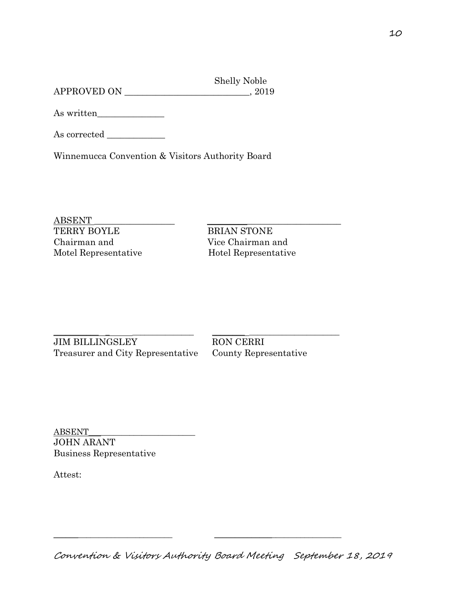Shelly Noble APPROVED ON \_\_\_\_\_\_\_\_\_\_\_\_\_\_\_\_\_\_\_\_\_\_\_\_\_\_\_\_, 2019

As written\_\_\_\_\_\_\_\_\_\_\_\_\_\_\_

As corrected \_\_\_\_\_\_\_\_\_\_\_\_\_

Winnemucca Convention & Visitors Authority Board

ABSENT \_\_\_\_\_\_\_\_\_\_\_\_\_\_\_\_\_\_ \_\_\_\_\_\_\_\_\_\_\_\_\_\_\_\_\_\_\_\_\_\_\_\_\_\_\_\_\_\_ TERRY BOYLE BRIAN STONE Chairman and Vice Chairman and Motel Representative Hotel Representative

\_\_\_\_\_\_\_\_\_\_\_ \_ \_\_\_\_\_\_\_\_\_\_\_\_\_\_\_ \_\_\_\_\_\_\_\_ \_\_\_\_\_\_\_\_\_\_\_\_\_\_\_\_\_\_\_\_\_\_ JIM BILLINGSLEY RON CERRI Treasurer and City Representative County Representative

ABSENT\_\_\_\_\_\_\_\_\_\_\_\_\_\_\_\_\_\_\_\_\_\_\_\_\_\_ JOHN ARANT Business Representative

Attest:

\_\_\_\_\_\_\_\_\_\_\_\_\_\_\_\_\_\_\_\_\_\_\_\_\_\_\_\_\_ \_\_\_\_\_\_\_\_\_\_\_\_\_\_\_\_\_\_\_\_\_\_\_\_\_\_\_\_\_\_\_